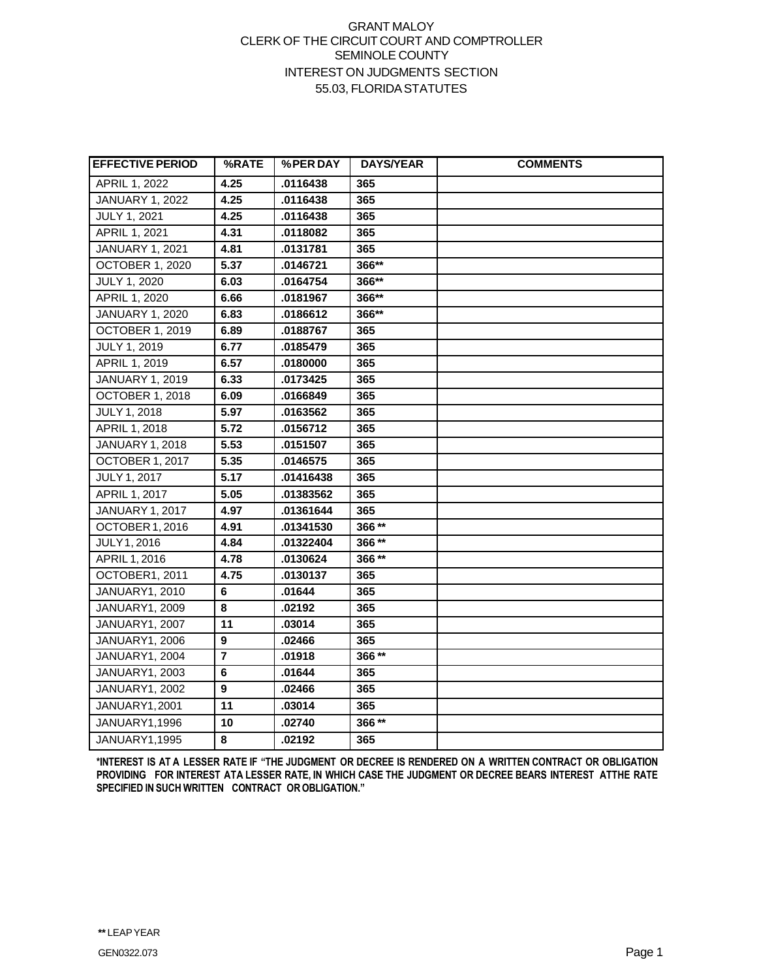## GRANT MALOY CLERK OF THE CIRCUIT COURT AND COMPTROLLER SEMINOLE COUNTY INTEREST ON JUDGMENTS SECTION 55.03, FLORIDASTATUTES

| <b>EFFECTIVE PERIOD</b> | %RATE                   | %PER DAY  | <b>DAYS/YEAR</b> | <b>COMMENTS</b> |
|-------------------------|-------------------------|-----------|------------------|-----------------|
| APRIL 1, 2022           | 4.25                    | .0116438  | 365              |                 |
| <b>JANUARY 1, 2022</b>  | 4.25                    | .0116438  | 365              |                 |
| <b>JULY 1, 2021</b>     | 4.25                    | .0116438  | 365              |                 |
| APRIL 1, 2021           | 4.31                    | .0118082  | 365              |                 |
| <b>JANUARY 1, 2021</b>  | 4.81                    | .0131781  | 365              |                 |
| <b>OCTOBER 1, 2020</b>  | 5.37                    | .0146721  | 366**            |                 |
| <b>JULY 1, 2020</b>     | 6.03                    | .0164754  | 366**            |                 |
| APRIL 1, 2020           | 6.66                    | .0181967  | 366**            |                 |
| <b>JANUARY 1, 2020</b>  | 6.83                    | .0186612  | $366**$          |                 |
| <b>OCTOBER 1, 2019</b>  | 6.89                    | .0188767  | 365              |                 |
| <b>JULY 1, 2019</b>     | 6.77                    | .0185479  | 365              |                 |
| APRIL 1, 2019           | 6.57                    | .0180000  | 365              |                 |
| <b>JANUARY 1, 2019</b>  | 6.33                    | .0173425  | 365              |                 |
| OCTOBER 1, 2018         | 6.09                    | .0166849  | 365              |                 |
| JULY 1, 2018            | 5.97                    | .0163562  | 365              |                 |
| APRIL 1, 2018           | 5.72                    | .0156712  | 365              |                 |
| JANUARY 1, 2018         | 5.53                    | .0151507  | 365              |                 |
| OCTOBER 1, 2017         | 5.35                    | .0146575  | 365              |                 |
| JULY 1, 2017            | 5.17                    | .01416438 | 365              |                 |
| APRIL 1, 2017           | 5.05                    | .01383562 | 365              |                 |
| <b>JANUARY 1, 2017</b>  | 4.97                    | .01361644 | 365              |                 |
| OCTOBER 1, 2016         | 4.91                    | .01341530 | 366**            |                 |
| JULY 1, 2016            | 4.84                    | .01322404 | 366**            |                 |
| APRIL 1, 2016           | 4.78                    | .0130624  | 366**            |                 |
| OCTOBER1, 2011          | 4.75                    | .0130137  | 365              |                 |
| <b>JANUARY1, 2010</b>   | 6                       | .01644    | 365              |                 |
| JANUARY1, 2009          | 8                       | .02192    | 365              |                 |
| JANUARY1, 2007          | 11                      | .03014    | 365              |                 |
| JANUARY1, 2006          | 9                       | .02466    | 365              |                 |
| JANUARY1, 2004          | $\overline{\mathbf{r}}$ | .01918    | 366**            |                 |
| JANUARY1, 2003          | 6                       | .01644    | 365              |                 |
| JANUARY1, 2002          | 9                       | .02466    | 365              |                 |
| JANUARY1,2001           | 11                      | .03014    | 365              |                 |
| JANUARY1,1996           | 10                      | .02740    | 366**            |                 |
| JANUARY1,1995           | 8                       | .02192    | 365              |                 |

\*INTEREST IS AT A LESSER RATE IF "THE JUDGMENT OR DECREE IS RENDERED ON A WRITTEN CONTRACT OR OBLIGATION **PROVIDING FOR INTEREST ATA LESSER RATE, IN WHICH CASE THE JUDGMENT OR DECREE BEARS INTEREST ATTHE RATE SPECIFIED IN SUCH WRITTEN CONTRACT OROBLIGATION."**